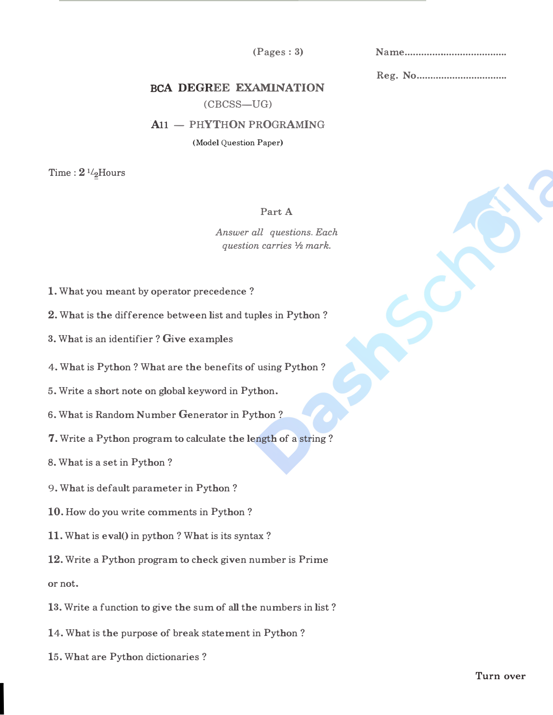$(Pages:3)$ 

Reg. No ................................ .

## BCA DEGREE EXAMINATION

(CBCSS-UG)

## A11 - PHYTHON PROGRAMING

(Model Question Paper)

Time :  $2 \frac{1}{2}$ Hours

## Part A

*Answer all questions. Each question carries* ½ *mark.* 

- 1. What you meant by operator precedence?
- 2. What is the difference between list and tuples in Python?
- 3. What is an identifier? Give examples
- 4. What is Python? What are the benefits of using Python?
- 5. Write a short note on global keyword in Python.
- 6. What is Random Number Generator in Python?
- 7. Write a Python program to calculate the length of a string?
- 8. What is a set in Python?
- 9. What is default parameter in Python?
- 10. How do you write comments in Python?
- 11. What is eval() in python? What is its syntax?
- 12. Write a Python program to check given number is Prime

or not.

I

- 13. Write a function to give the sum of all the numbers in list?
- 14. What is the purpose of break statement in Python?
- 15. What are Python dictionaries?